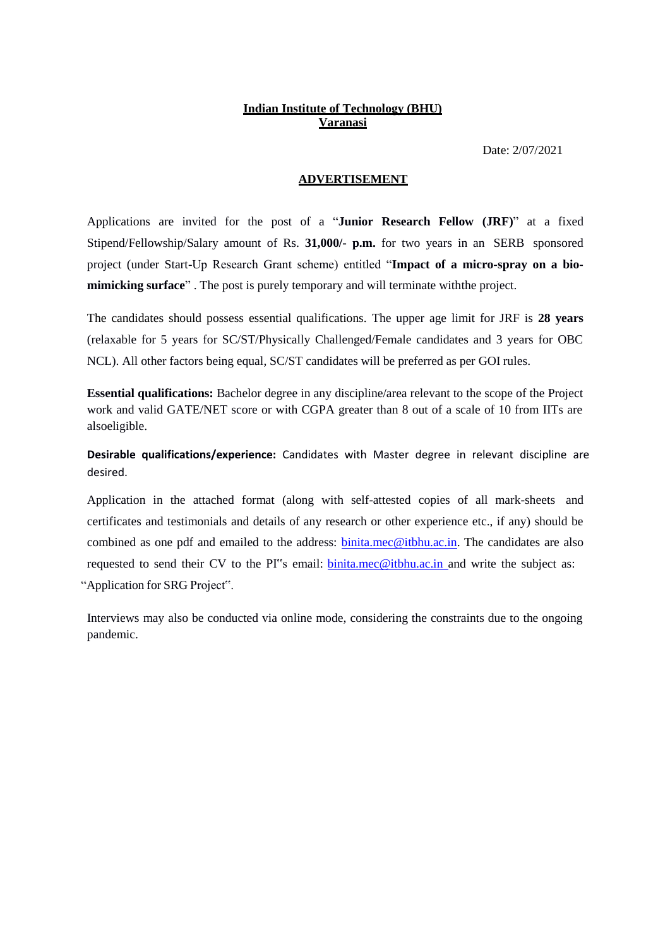# **Indian Institute of Technology (BHU) Varanasi**

Date: 2/07/2021

#### **ADVERTISEMENT**

Applications are invited for the post of a "**Junior Research Fellow (JRF)**" at a fixed Stipend/Fellowship/Salary amount of Rs. **31,000/- p.m.** for two years in an SERB sponsored project (under Start-Up Research Grant scheme) entitled "**Impact of a micro-spray on a biomimicking surface**" . The post is purely temporary and will terminate withthe project.

The candidates should possess essential qualifications. The upper age limit for JRF is **28 years** (relaxable for 5 years for SC/ST/Physically Challenged/Female candidates and 3 years for OBC NCL). All other factors being equal, SC/ST candidates will be preferred as per GOI rules.

**Essential qualifications:** Bachelor degree in any discipline/area relevant to the scope of the Project work and valid GATE/NET score or with CGPA greater than 8 out of a scale of 10 from IITs are alsoeligible.

**Desirable qualifications/experience:** Candidates with Master degree in relevant discipline are desired.

Application in the attached format (along with self-attested copies of all mark-sheets and certificates and testimonials and details of any research or other experience etc., if any) should be combined as one pdf and emailed to the address: **binita.mec@itbhu.ac.in**. The candidates are also requested to send their CV to the PI"s email: [binita.mec@itbhu.ac.in](mailto:binita.mec@itbhu.ac.in) and write the subject as: "Application for SRG Project".

Interviews may also be conducted via online mode, considering the constraints due to the ongoing pandemic.